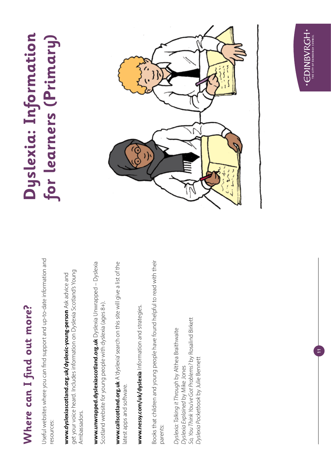# Where can I find out more? **Where can I find out more?**

Useful websites where you can find support and up-to-date information and Useful websites where you can find support and up-to-date information and resources: resources:

get your voice heard. Includes information on Dyslexia Scotland's Young get your voice heard. Includes information on Dyslexia Scotland's Young **www.dyslexiascotland.org.uk/dyslexic-young-person** Ask advice and www.dyslexiascotland.org.uk/dyslexic-young-person Ask advice and Ambassadors. Ambassadors.

**www.unwrapped.dyslexiascotland.org.uk** Dyslexia Unwrapped – Dyslexia www.unwrapped.dyslexiascotland.org.uk Dyslexia Unwrapped - Dyslexia Scotland website for young people with dyslexia (ages 8+). Scotland website for young people with dyslexia (ages 8+).

**www.callscotland.org.uk** A 'dyslexia' search on this site will give a list of the www.callscotland.org.uk A'dyslexia' search on this site will give a list of the latest apps and software. latest apps and software.

www.nessy.com/uk/dyslexia Information and strategies. **www.nessy.com/uk/dyslexia** Information and strategies.

Books that children and young people have found helpful to read with their Books that children and young people have found helpful to read with their parents:

So, You Think You've Got Problems? by Rosalind Birkett *So, You Think You've Got Problems?* by Rosalind Birkett Dyslexia: Talking it Through by Althea Braithwaite *Dyslexia: Talking it Through* by Althea Braithwaite Dyslexia Pocketbook by Julie Bennett *Dyslexia Pocketbook* by Julie Bennett *Dyslexia Explained* by Mike Jones Dyslexia Explained by Mike Jones

# **Dyslexia: Information**  Dyslexia: Information for learners (Primary) **for learners (Primary)**





**11**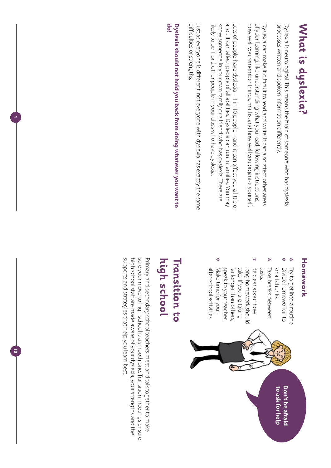# **What is dyslexia? What is dyslexia?**

processes written and spoken information differently. Dyslexia is neurological. This means the brain of someone who has dyslexia processes written and spoken information differently. Dyslexia is neurological. This means the brain of someone who has dyslexia

of your learning, like understanding what you read, following instructions, how well you remember things, maths, and how well you organise yourself of your learning, like understanding what you read, following instructions, Dyslexia can make it difficult to read and write. It can also affect other areas how well you remember things, maths, and how well you organise yourself. Dyslexia can make it difficult to read and write. It can also affect other areas

a lot. It can affect people of all abilities. Dyslexia can run in families. You may likely to be 1 or 2 other people in your class who have dyslexia. know someone in your own family or a friend who has dyslexia. There are a lot. It can affect people of all abilities. Dyslexia can run in families. You may Lots of people have dyslexia – 1 in 10 people – and it can affect you a little or likely to be 1 or 2 other people in your class who have dyslexia. know someone in your own family or a friend who has dyslexia. There are Lots of people have dyslexia – 1 in 10 people – and it can affect you a little or

difficulties or strengths. difficulties or strengths. Just as everyone is different, not everyone with dyslexia has exactly the same Just as everyone is different, not everyone with dyslexia has exactly the same

**do!** Dyslexia should not hold you back from doing whatever you want to **Dyslexia should not hold you back from doing whatever you want to** 

**1**

<u>ត</u>

### Homework **Homework**

- ❉ Try to get into a routine Try to get into a routine.
- ❉ Divide homework into Divide homework into
- ❉ small chunks. Take breaks between Take breaks between small chunks.
- ❉ take. If you are taking tasks. speak to your teacher far longer than others, long homework should Be clear about how speak to your teacher. far longer than others, take. If you are taking long homework should Be clear about how
- ❉ Make time for your after-school activities after-school activities. Make time for your



### high school **Transition to Transition to high school**

supports and strategies that help you learn best. high school staff are made aware of your dyslexia, your strengths and the sure your move to high school is a smooth one. Transition meetings ensure Primary and secondary school teachers meet and talk together to make supports and strategies that help you learn best. high school staff are made aware of your dyslexia, your strengths and the sure your move to high school is a smooth one. Transition meetings ensure Primary and secondary school teachers meet and talk together to make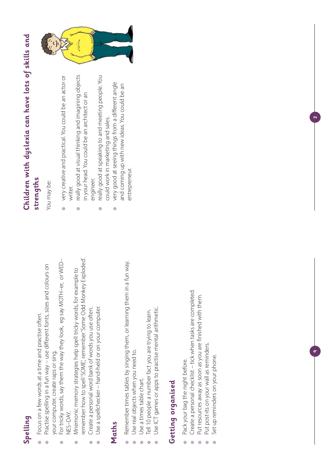# **Spelling**

- Focus on a few words at a time and practise often. Focus on a few words at a time and practise often. ❉
- Practise spelling in a fun way use different fonts, sizes and colours on Practise spelling in a fun way – use different fonts, sizes and colours on your computer, create raps or sing. your computer, create raps or sing. ❉
- For tricky words, say them the way they look, eg say MOTH–er, or WED– For tricky words, say them the way they look, eg say MOTH-er, or WED-**NES-DAY.** NES–DAY. ❉
- remember how to spell 'SOME', remember 'Some Odd Monkey Exploded'. remember how to spell 'SOME', remember 'Some Odd Monkey Exploded'. Vinemonic memory strategies help spell tricky words, for example to Mnemonic memory strategies help spell tricky words, for example to ❉
	- Create a personal word bank of words you use often. Create a personal word bank of words you use often. ❉
- Use a spellchecker hand-held or on your computer. Use a spellchecker – hand-held or on your computer. ❉

### **Maths**

- Remember times tables by singing them, or learning them in a fun way. Remember times tables by singing them, or learning them in a fun way. ❉
- Use real objects when you need to. Use real objects when you need to. ❉
	- Use a times table chart. Use a times table chart. ❉
- Tell 10 people a number fact you are trying to learn. Tell 10 people a number fact you are trying to learn. ❉
- Use ICT games or apps to practise mental arithmetic. Use ICT games or apps to practise mental arithmetic. ❉

# Getting organised **Getting organised**

- Pack your bag the night before. Pack your bag the night before. ❉
- Create a personal checklist tick when tasks are completed. Create a personal checklist – tick when tasks are completed. ❉
- Put resources away as soon as you are finished with them. Put resources away as soon as you are finished with them. ❉
- Put post-its on your wall as reminders. Put post-its on your wall as reminders. ❉
- Set up reminders on your phone. Set up reminders on your phone. ❉

 $\sim$ 

**9**

# **Children with dyslexia can have lots of skills and**  Children with dyslexia can have lots of skills and **strengths**

You may be: You may be:

- very creative and practical. You could be an actor or very creative and practical. You could be an actor or writer. ❉
- really good at visual thinking and imagining objects really good at visual thinking and imagining objects in your head. You could be an architect or an in your head. You could be an architect or an engineer. ❉
- really good at speaking to and meeting people. You really good at speaking to and meeting people. You could work in marketing and sales. could work in marketing and sales. ❉
	- very good at seeing things from a different angle very good at seeing things from a different angle and coming up with new ideas. You could be an and coming up with new ideas. You could be an entrepreneur. entrepreneur. ❉

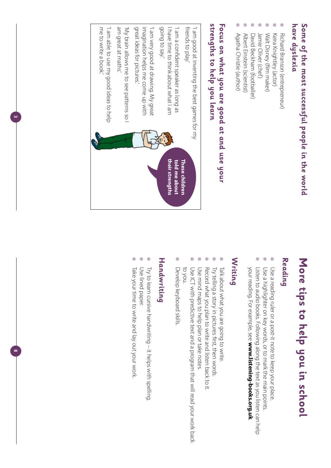# have dyslexia **Some of the most successful people in the world**  Some of the most successful people in the world **have dyslexia**

- ❉ Richard Branson (entrepreneur) Richard Branson (entrepreneur)
- ❉ Keira Knightley (actor) Keira Knightley (actor)
- ❉ Walt Disney (film maker) Walt Disney (film maker)
- ❉ ❉ David Beckham (footballer) Jamie Oliver (chef) David Beckham (footballer) Jamie Oliver (chef )
- ❉ Albert Einstein (scientist) Albert Einstein (scientist)
- ❉ Agatha Christie (author) Agatha Christie (author)

# strengths to help you learn Focus on what you are good at and use your **strengths to help you learn Focus on what you are good at and use your**



**3**

**8**

# More tips to help you in school **More tips to help you in school**

### **Reading**

- ❉ Use a reading ruler or a post-it note to keep your place. Use a reading ruler or a post-it note to keep your place.
- ❉ Use a highlighter on key words, or to mark the main points. Use a highlighter on key words, or to mark the main points.
- ❉ Listen to audio books. Following along the text as you listen can help your reading. For example, see www.listening-books.org.uk. your reading. For example, see Listen to audio books. Following along the text as you listen can help **www.listening-books.org.uk**

## **Writing**

- ❉ Talk about what you are going to write. Talk about what you are going to write.
- ❉ Try telling a story in pictures first, then words. Try telling a story in pictures first, then words.
- ❉ Record what you plan to write and listen back to it. Record what you plan to write and listen back to it.
- ❉ Use mind maps to help plan or take notes. Use mind maps to help plan or take notes.
- ❉ to you. Use ICT with predictive text and a program that will read your work back Use ICT with predictive text and a program that will read your work back
- ❉ Develop keyboard skills. Develop keyboard skills.

### Handwriting **Handwriting**

- ❉ Try to learn cursive handwriting – it helps with spelling. Try to learn cursive handwriting – it helps with spelling.
- ❉ Use lined paper. Use lined paper.
- ❉ Take your time to write and lay out your work Take your time to write and lay out your work.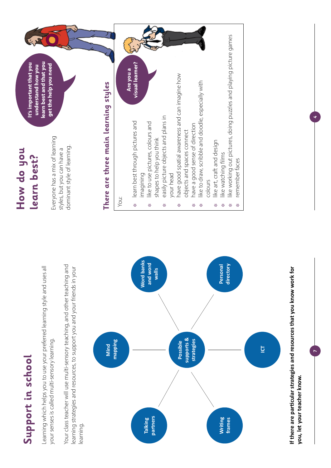# Support in school **Support in school**

Learning which helps you to use your preferred learning style and uses all Learning which helps you to use your preferred learning style and uses all your senses is called multi-sensory learning. your senses is called multi-sensory learning. Your class teacher will use multi-sensory teaching, and other teaching and Your class teacher will use multi-sensory teaching, and other teaching and learning strategies and resources, to support you and your friends in your learning strategies and resources, to support you and your friends in your learning.



**If there are particular strategies and resources that you know work for**  If there are particular strategies and resources that you know work for **you, let your teacher know.**  you, let your teacher know.

**7**

**4**

### **How do you**  How do you learn best? **learn best?**

Everyone has a mix of learning Everyone has a mix of learning dominant style of learning. dominant style of learning. styles, but you can have a styles, but you can have a

**learn best and that you It's important that you**  learn best and that you It's important that you get the help you need understand how you **understand how you get the help you need**